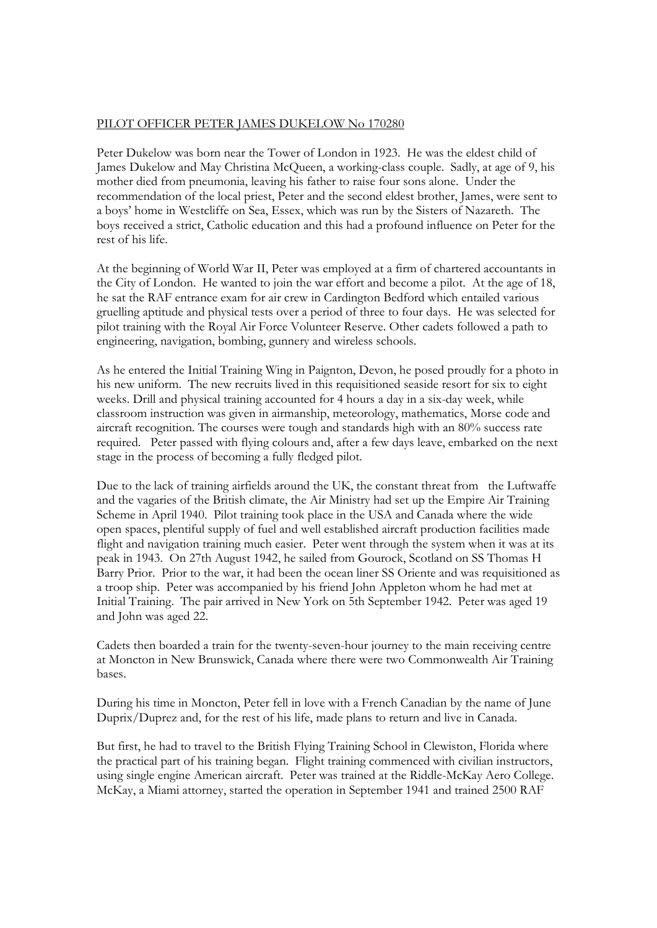## PILOT OFFICER PETER JAMES DUKELOW No 170280

Peter Dukelow was born near the Tower of London in 1923. He was the eldest child of James Dukelow and May Christina McQueen, a working-class couple. Sadly, at age of 9, his mother died from pneumonia, leaving his father to raise four sons alone. Under the recommendation of the local priest, Peter and the second eldest brother, James, were sent to a boys' home in Westcliffe on Sea, Essex, which was run by the Sisters of Nazareth. The boys received a strict, Catholic education and this had a profound influence on Peter for the rest of his life.

At the beginning of World War II, Peter was employed at a firm of chartered accountants in the City of London. He wanted to join the war effort and become a pilot. At the age of 18, he sat the RAF entrance exam for air crew in Cardington Bedford which entailed various gruelling aptitude and physical tests over a period of three to four days. He was selected for pilot training with the Royal Air Force Volunteer Reserve. Other cadets followed a path to engineering, navigation, bombing, gunnery and wireless schools.

As he entered the Initial Training Wing in Paignton, Devon, he posed proudly for a photo in his new uniform. The new recruits lived in this requisitioned seaside resort for six to eight weeks. Drill and physical training accounted for 4 hours a day in a six-day week, while classroom instruction was given in airmanship, meteorology, mathematics, Morse code and aircraft recognition. The courses were tough and standards high with an 80% success rate required. Peter passed with flying colours and, after a few days leave, embarked on the next stage in the process of becoming a fully fledged pilot.

Due to the lack of training airfields around the UK, the constant threat from the Luftwaffe and the vagaries of the British climate, the Air Ministry had set up the Empire Air Training Scheme in April 1940. Pilot training took place in the USA and Canada where the wide open spaces, plentiful supply of fuel and well established aircraft production facilities made flight and navigation training much easier. Peter went through the system when it was at its peak in 1943. On 27th August 1942, he sailed from Gourock, Scotland on SS Thomas H Barry Prior. Prior to the war, it had been the ocean liner SS Oriente and was requisitioned as a troop ship. Peter was accompanied by his friend John Appleton whom he had met at Initial Training. The pair arrived in New York on 5th September 1942. Peter was aged 19 and John was aged 22.

Cadets then boarded a train for the twenty-seven-hour journey to the main receiving centre at Moncton in New Brunswick, Canada where there were two Commonwealth Air Training bases.

During his time in Moncton, Peter fell in love with a French Canadian by the name of June Duprix/Duprez and, for the rest of his life, made plans to return and live in Canada.

But first, he had to travel to the British Flying Training School in Clewiston, Florida where the practical part of his training began. Flight training commenced with civilian instructors, using single engine American aircraft. Peter was trained at the Riddle-McKay Aero College. McKay, a Miami attorney, started the operation in September 1941 and trained 2500 RAF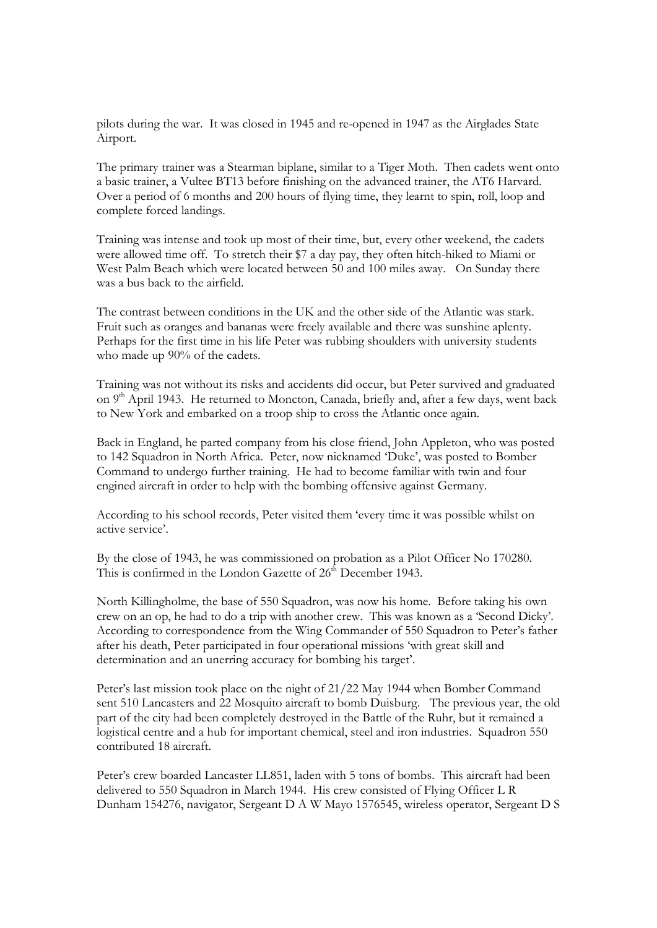pilots during the war. It was closed in 1945 and re-opened in 1947 as the Airglades State Airport.

The primary trainer was a Stearman biplane, similar to a Tiger Moth. Then cadets went onto a basic trainer, a Vultee BT13 before finishing on the advanced trainer, the AT6 Harvard. Over a period of 6 months and 200 hours of flying time, they learnt to spin, roll, loop and complete forced landings.

Training was intense and took up most of their time, but, every other weekend, the cadets were allowed time off. To stretch their \$7 a day pay, they often hitch-hiked to Miami or West Palm Beach which were located between 50 and 100 miles away. On Sunday there was a bus back to the airfield.

The contrast between conditions in the UK and the other side of the Atlantic was stark. Fruit such as oranges and bananas were freely available and there was sunshine aplenty. Perhaps for the first time in his life Peter was rubbing shoulders with university students who made up 90% of the cadets.

Training was not without its risks and accidents did occur, but Peter survived and graduated on 9<sup>th</sup> April 1943. He returned to Moncton, Canada, briefly and, after a few days, went back to New York and embarked on a troop ship to cross the Atlantic once again.

Back in England, he parted company from his close friend, John Appleton, who was posted to 142 Squadron in North Africa. Peter, now nicknamed 'Duke', was posted to Bomber Command to undergo further training. He had to become familiar with twin and four engined aircraft in order to help with the bombing offensive against Germany.

According to his school records, Peter visited them 'every time it was possible whilst on active service'.

By the close of 1943, he was commissioned on probation as a Pilot Officer No 170280. This is confirmed in the London Gazette of  $26<sup>th</sup>$  December 1943.

North Killingholme, the base of 550 Squadron, was now his home. Before taking his own crew on an op, he had to do a trip with another crew. This was known as a 'Second Dicky'. According to correspondence from the Wing Commander of 550 Squadron to Peter's father after his death, Peter participated in four operational missions 'with great skill and determination and an unerring accuracy for bombing his target'.

Peter's last mission took place on the night of 21/22 May 1944 when Bomber Command sent 510 Lancasters and 22 Mosquito aircraft to bomb Duisburg. The previous year, the old part of the city had been completely destroyed in the Battle of the Ruhr, but it remained a logistical centre and a hub for important chemical, steel and iron industries. Squadron 550 contributed 18 aircraft.

Peter's crew boarded Lancaster LL851, laden with 5 tons of bombs. This aircraft had been delivered to 550 Squadron in March 1944. His crew consisted of Flying Officer L R Dunham 154276, navigator, Sergeant D A W Mayo 1576545, wireless operator, Sergeant D S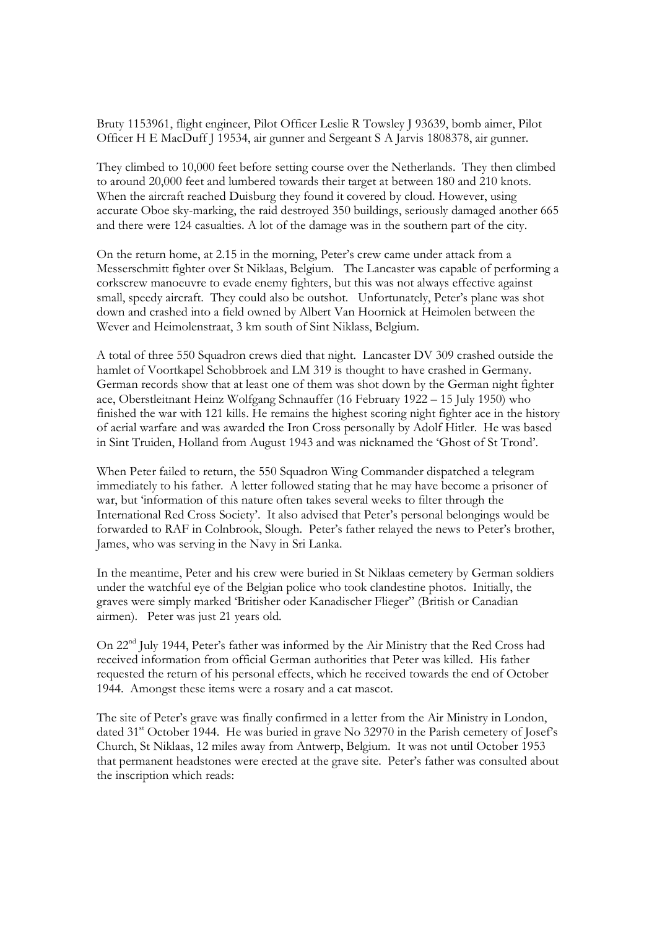Bruty 1153961, flight engineer, Pilot Officer Leslie R Towsley J 93639, bomb aimer, Pilot Officer H E MacDuff J 19534, air gunner and Sergeant S A Jarvis 1808378, air gunner.

They climbed to 10,000 feet before setting course over the Netherlands. They then climbed to around 20,000 feet and lumbered towards their target at between 180 and 210 knots. When the aircraft reached Duisburg they found it covered by cloud. However, using accurate Oboe sky-marking, the raid destroyed 350 buildings, seriously damaged another 665 and there were 124 casualties. A lot of the damage was in the southern part of the city.

On the return home, at 2.15 in the morning, Peter's crew came under attack from a Messerschmitt fighter over St Niklaas, Belgium. The Lancaster was capable of performing a corkscrew manoeuvre to evade enemy fighters, but this was not always effective against small, speedy aircraft. They could also be outshot. Unfortunately, Peter's plane was shot down and crashed into a field owned by Albert Van Hoornick at Heimolen between the Wever and Heimolenstraat, 3 km south of Sint Niklass, Belgium.

A total of three 550 Squadron crews died that night. Lancaster DV 309 crashed outside the hamlet of Voortkapel Schobbroek and LM 319 is thought to have crashed in Germany. German records show that at least one of them was shot down by the German night fighter ace, Oberstleitnant Heinz Wolfgang Schnauffer (16 February 1922 – 15 July 1950) who finished the war with 121 kills. He remains the highest scoring night fighter ace in the history of aerial warfare and was awarded the Iron Cross personally by Adolf Hitler. He was based in Sint Truiden, Holland from August 1943 and was nicknamed the 'Ghost of St Trond'.

When Peter failed to return, the 550 Squadron Wing Commander dispatched a telegram immediately to his father. A letter followed stating that he may have become a prisoner of war, but 'information of this nature often takes several weeks to filter through the International Red Cross Society'. It also advised that Peter's personal belongings would be forwarded to RAF in Colnbrook, Slough. Peter's father relayed the news to Peter's brother, James, who was serving in the Navy in Sri Lanka.

In the meantime, Peter and his crew were buried in St Niklaas cemetery by German soldiers under the watchful eye of the Belgian police who took clandestine photos. Initially, the graves were simply marked 'Britisher oder Kanadischer Flieger" (British or Canadian airmen). Peter was just 21 years old.

On 22nd July 1944, Peter's father was informed by the Air Ministry that the Red Cross had received information from official German authorities that Peter was killed. His father requested the return of his personal effects, which he received towards the end of October 1944. Amongst these items were a rosary and a cat mascot.

The site of Peter's grave was finally confirmed in a letter from the Air Ministry in London, dated 31<sup>st</sup> October 1944. He was buried in grave No 32970 in the Parish cemetery of Josef's Church, St Niklaas, 12 miles away from Antwerp, Belgium. It was not until October 1953 that permanent headstones were erected at the grave site. Peter's father was consulted about the inscription which reads: